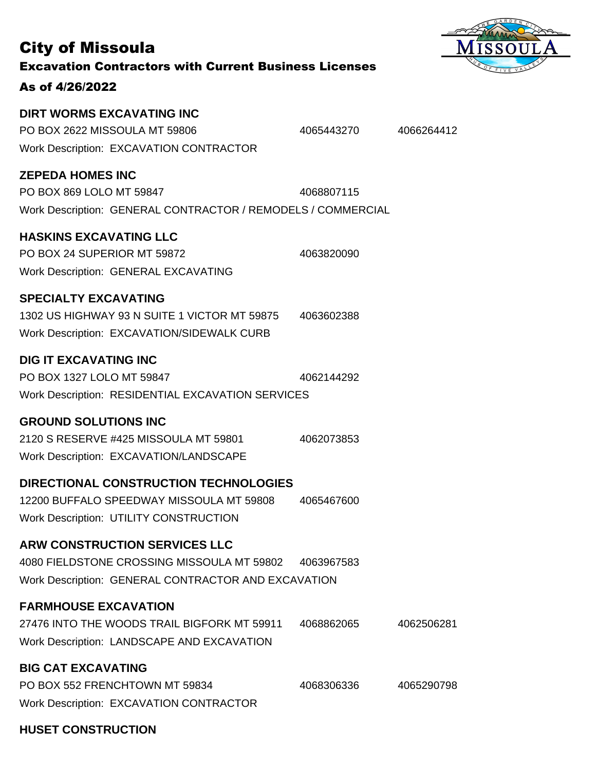| <b>City of Missoula</b><br><b>Excavation Contractors with Current Business Licenses</b><br>As of 4/26/2022                                |            | FIVE       |
|-------------------------------------------------------------------------------------------------------------------------------------------|------------|------------|
| <b>DIRT WORMS EXCAVATING INC</b><br>PO BOX 2622 MISSOULA MT 59806<br><b>Work Description: EXCAVATION CONTRACTOR</b>                       | 4065443270 | 4066264412 |
| <b>ZEPEDA HOMES INC</b><br>PO BOX 869 LOLO MT 59847<br>Work Description: GENERAL CONTRACTOR / REMODELS / COMMERCIAL                       | 4068807115 |            |
| <b>HASKINS EXCAVATING LLC</b><br>PO BOX 24 SUPERIOR MT 59872<br><b>Work Description: GENERAL EXCAVATING</b>                               | 4063820090 |            |
| <b>SPECIALTY EXCAVATING</b><br>1302 US HIGHWAY 93 N SUITE 1 VICTOR MT 59875<br>Work Description: EXCAVATION/SIDEWALK CURB                 | 4063602388 |            |
| <b>DIG IT EXCAVATING INC</b><br>PO BOX 1327 LOLO MT 59847<br>Work Description: RESIDENTIAL EXCAVATION SERVICES                            | 4062144292 |            |
| <b>GROUND SOLUTIONS INC</b><br>2120 S RESERVE #425 MISSOULA MT 59801<br>Work Description: EXCAVATION/LANDSCAPE                            | 4062073853 |            |
| <b>DIRECTIONAL CONSTRUCTION TECHNOLOGIES</b><br>12200 BUFFALO SPEEDWAY MISSOULA MT 59808<br><b>Work Description: UTILITY CONSTRUCTION</b> | 4065467600 |            |
| <b>ARW CONSTRUCTION SERVICES LLC</b><br>4080 FIELDSTONE CROSSING MISSOULA MT 59802<br>Work Description: GENERAL CONTRACTOR AND EXCAVATION | 4063967583 |            |
| <b>FARMHOUSE EXCAVATION</b><br>27476 INTO THE WOODS TRAIL BIGFORK MT 59911<br>Work Description: LANDSCAPE AND EXCAVATION                  | 4068862065 | 4062506281 |
| <b>BIG CAT EXCAVATING</b><br>PO BOX 552 FRENCHTOWN MT 59834<br><b>Work Description: EXCAVATION CONTRACTOR</b>                             | 4068306336 | 4065290798 |

RDEN

# **HUSET CONSTRUCTION**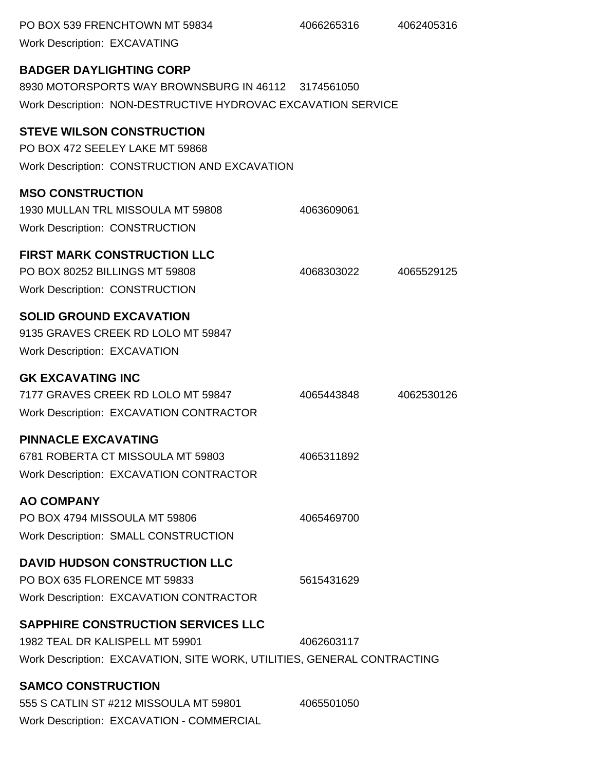| PO BOX 539 FRENCHTOWN MT 59834<br><b>Work Description: EXCAVATING</b>                                                                                   | 4066265316 | 4062405316 |
|---------------------------------------------------------------------------------------------------------------------------------------------------------|------------|------------|
| <b>BADGER DAYLIGHTING CORP</b><br>8930 MOTORSPORTS WAY BROWNSBURG IN 46112 3174561050<br>Work Description: NON-DESTRUCTIVE HYDROVAC EXCAVATION SERVICE  |            |            |
| <b>STEVE WILSON CONSTRUCTION</b><br>PO BOX 472 SEELEY LAKE MT 59868<br>Work Description: CONSTRUCTION AND EXCAVATION                                    |            |            |
| <b>MSO CONSTRUCTION</b><br>1930 MULLAN TRL MISSOULA MT 59808<br><b>Work Description: CONSTRUCTION</b>                                                   | 4063609061 |            |
| <b>FIRST MARK CONSTRUCTION LLC</b><br>PO BOX 80252 BILLINGS MT 59808<br><b>Work Description: CONSTRUCTION</b>                                           | 4068303022 | 4065529125 |
| <b>SOLID GROUND EXCAVATION</b><br>9135 GRAVES CREEK RD LOLO MT 59847<br><b>Work Description: EXCAVATION</b>                                             |            |            |
| <b>GK EXCAVATING INC</b><br>7177 GRAVES CREEK RD LOLO MT 59847<br><b>Work Description: EXCAVATION CONTRACTOR</b>                                        | 4065443848 | 4062530126 |
| <b>PINNACLE EXCAVATING</b><br>6781 ROBERTA CT MISSOULA MT 59803<br><b>Work Description: EXCAVATION CONTRACTOR</b>                                       | 4065311892 |            |
| <b>AO COMPANY</b><br>PO BOX 4794 MISSOULA MT 59806<br><b>Work Description: SMALL CONSTRUCTION</b>                                                       | 4065469700 |            |
| <b>DAVID HUDSON CONSTRUCTION LLC</b><br>PO BOX 635 FLORENCE MT 59833<br><b>Work Description: EXCAVATION CONTRACTOR</b>                                  | 5615431629 |            |
| <b>SAPPHIRE CONSTRUCTION SERVICES LLC</b><br>1982 TEAL DR KALISPELL MT 59901<br>Work Description: EXCAVATION, SITE WORK, UTILITIES, GENERAL CONTRACTING | 4062603117 |            |
| <b>SAMCO CONSTRUCTION</b><br>555 S CATLIN ST #212 MISSOULA MT 59801<br>Work Description: EXCAVATION - COMMERCIAL                                        | 4065501050 |            |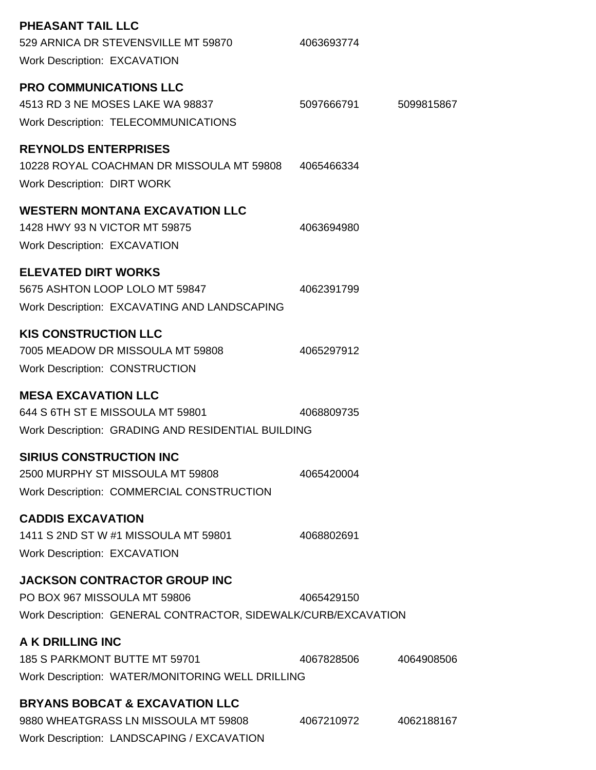| PHEASANT TAIL LLC<br>529 ARNICA DR STEVENSVILLE MT 59870<br><b>Work Description: EXCAVATION</b>                                       | 4063693774 |            |
|---------------------------------------------------------------------------------------------------------------------------------------|------------|------------|
| <b>PRO COMMUNICATIONS LLC</b><br>4513 RD 3 NE MOSES LAKE WA 98837<br><b>Work Description: TELECOMMUNICATIONS</b>                      | 5097666791 | 5099815867 |
| <b>REYNOLDS ENTERPRISES</b><br>10228 ROYAL COACHMAN DR MISSOULA MT 59808<br><b>Work Description: DIRT WORK</b>                        | 4065466334 |            |
| <b>WESTERN MONTANA EXCAVATION LLC</b><br>1428 HWY 93 N VICTOR MT 59875<br><b>Work Description: EXCAVATION</b>                         | 4063694980 |            |
| <b>ELEVATED DIRT WORKS</b><br>5675 ASHTON LOOP LOLO MT 59847<br>Work Description: EXCAVATING AND LANDSCAPING                          | 4062391799 |            |
| <b>KIS CONSTRUCTION LLC</b><br>7005 MEADOW DR MISSOULA MT 59808<br><b>Work Description: CONSTRUCTION</b>                              | 4065297912 |            |
| <b>MESA EXCAVATION LLC</b><br>644 S 6TH ST E MISSOULA MT 59801<br>Work Description: GRADING AND RESIDENTIAL BUILDING                  | 4068809735 |            |
| <b>SIRIUS CONSTRUCTION INC</b><br>2500 MURPHY ST MISSOULA MT 59808<br>Work Description: COMMERCIAL CONSTRUCTION                       | 4065420004 |            |
| <b>CADDIS EXCAVATION</b><br>1411 S 2ND ST W #1 MISSOULA MT 59801<br><b>Work Description: EXCAVATION</b>                               | 4068802691 |            |
| <b>JACKSON CONTRACTOR GROUP INC</b><br>PO BOX 967 MISSOULA MT 59806<br>Work Description: GENERAL CONTRACTOR, SIDEWALK/CURB/EXCAVATION | 4065429150 |            |
| A K DRILLING INC<br>185 S PARKMONT BUTTE MT 59701<br>Work Description: WATER/MONITORING WELL DRILLING                                 | 4067828506 | 4064908506 |
| <b>BRYANS BOBCAT &amp; EXCAVATION LLC</b><br>9880 WHEATGRASS LN MISSOULA MT 59808<br>Work Description: LANDSCAPING / EXCAVATION       | 4067210972 | 4062188167 |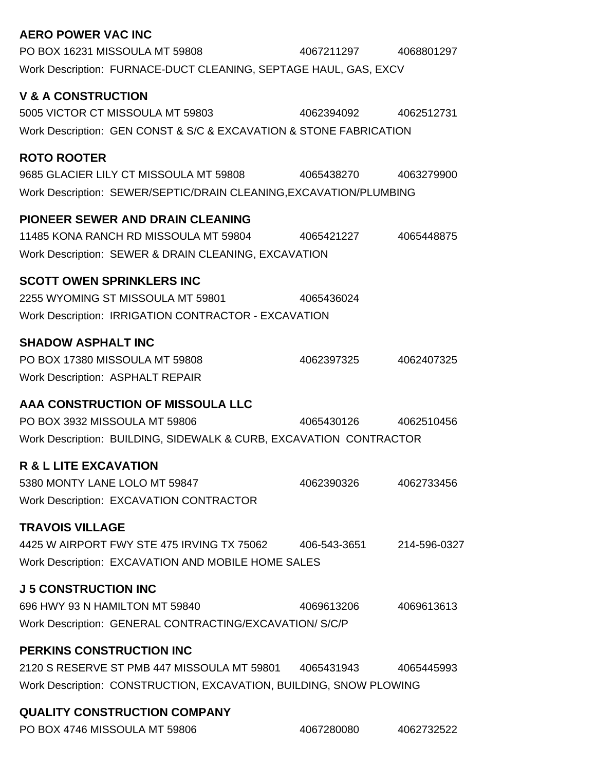| <b>AERO POWER VAC INC</b>                                          |                       |              |
|--------------------------------------------------------------------|-----------------------|--------------|
| PO BOX 16231 MISSOULA MT 59808                                     | 4067211297            | 4068801297   |
| Work Description: FURNACE-DUCT CLEANING, SEPTAGE HAUL, GAS, EXCV   |                       |              |
| <b>V &amp; A CONSTRUCTION</b>                                      |                       |              |
| 5005 VICTOR CT MISSOULA MT 59803                                   | 4062394092 4062512731 |              |
| Work Description: GEN CONST & S/C & EXCAVATION & STONE FABRICATION |                       |              |
|                                                                    |                       |              |
| <b>ROTO ROOTER</b>                                                 |                       |              |
| 9685 GLACIER LILY CT MISSOULA MT 59808 4065438270                  |                       | 4063279900   |
| Work Description: SEWER/SEPTIC/DRAIN CLEANING, EXCAVATION/PLUMBING |                       |              |
| <b>PIONEER SEWER AND DRAIN CLEANING</b>                            |                       |              |
| 11485 KONA RANCH RD MISSOULA MT 59804                              | 4065421227            | 4065448875   |
| Work Description: SEWER & DRAIN CLEANING, EXCAVATION               |                       |              |
|                                                                    |                       |              |
| <b>SCOTT OWEN SPRINKLERS INC</b>                                   |                       |              |
| 2255 WYOMING ST MISSOULA MT 59801                                  | 4065436024            |              |
| Work Description: IRRIGATION CONTRACTOR - EXCAVATION               |                       |              |
| <b>SHADOW ASPHALT INC</b>                                          |                       |              |
| PO BOX 17380 MISSOULA MT 59808                                     | 4062397325            | 4062407325   |
| <b>Work Description: ASPHALT REPAIR</b>                            |                       |              |
| AAA CONSTRUCTION OF MISSOULA LLC                                   |                       |              |
| PO BOX 3932 MISSOULA MT 59806                                      | 4065430126            | 4062510456   |
| Work Description: BUILDING, SIDEWALK & CURB, EXCAVATION CONTRACTOR |                       |              |
|                                                                    |                       |              |
| <b>R &amp; L LITE EXCAVATION</b>                                   |                       |              |
| 5380 MONTY LANE LOLO MT 59847                                      | 4062390326            | 4062733456   |
| Work Description: EXCAVATION CONTRACTOR                            |                       |              |
| <b>TRAVOIS VILLAGE</b>                                             |                       |              |
| 4425 W AIRPORT FWY STE 475 IRVING TX 75062                         | 406-543-3651          | 214-596-0327 |
| Work Description: EXCAVATION AND MOBILE HOME SALES                 |                       |              |
| <b>J 5 CONSTRUCTION INC</b>                                        |                       |              |
| 696 HWY 93 N HAMILTON MT 59840                                     | 4069613206            | 4069613613   |
| Work Description: GENERAL CONTRACTING/EXCAVATION/S/C/P             |                       |              |
|                                                                    |                       |              |
| <b>PERKINS CONSTRUCTION INC</b>                                    |                       |              |
| 2120 S RESERVE ST PMB 447 MISSOULA MT 59801 4065431943             |                       | 4065445993   |
| Work Description: CONSTRUCTION, EXCAVATION, BUILDING, SNOW PLOWING |                       |              |
| QUALITY CONSTRUCTION COMPANY                                       |                       |              |

PO BOX 4746 MISSOULA MT 59806 4067280080 4062732522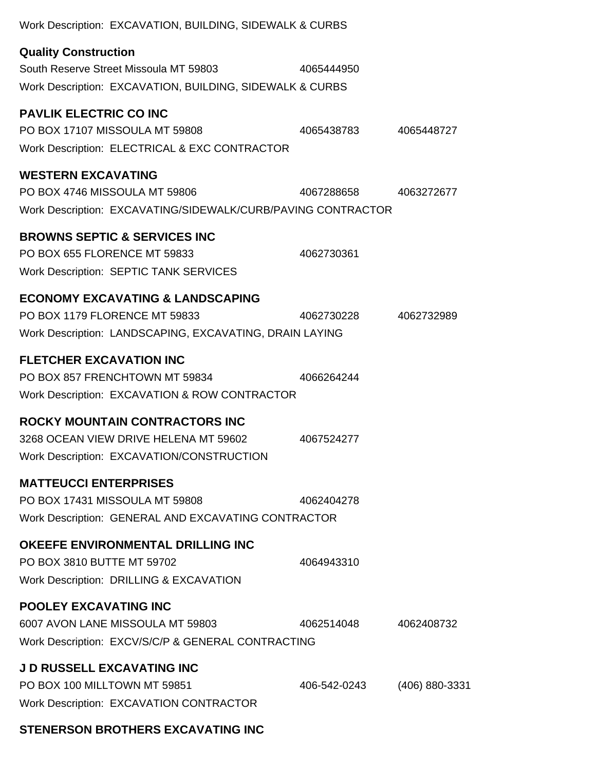| Work Description: EXCAVATION, BUILDING, SIDEWALK & CURBS                                                                                |              |                |
|-----------------------------------------------------------------------------------------------------------------------------------------|--------------|----------------|
| <b>Quality Construction</b><br>South Reserve Street Missoula MT 59803<br>Work Description: EXCAVATION, BUILDING, SIDEWALK & CURBS       | 4065444950   |                |
| <b>PAVLIK ELECTRIC CO INC</b><br>PO BOX 17107 MISSOULA MT 59808<br>Work Description: ELECTRICAL & EXC CONTRACTOR                        | 4065438783   | 4065448727     |
| <b>WESTERN EXCAVATING</b><br>PO BOX 4746 MISSOULA MT 59806<br>Work Description: EXCAVATING/SIDEWALK/CURB/PAVING CONTRACTOR              | 4067288658   | 4063272677     |
| <b>BROWNS SEPTIC &amp; SERVICES INC</b><br>PO BOX 655 FLORENCE MT 59833<br><b>Work Description: SEPTIC TANK SERVICES</b>                | 4062730361   |                |
| <b>ECONOMY EXCAVATING &amp; LANDSCAPING</b><br>PO BOX 1179 FLORENCE MT 59833<br>Work Description: LANDSCAPING, EXCAVATING, DRAIN LAYING | 4062730228   | 4062732989     |
| <b>FLETCHER EXCAVATION INC</b><br>PO BOX 857 FRENCHTOWN MT 59834<br>Work Description: EXCAVATION & ROW CONTRACTOR                       | 4066264244   |                |
| <b>ROCKY MOUNTAIN CONTRACTORS INC</b><br>3268 OCEAN VIEW DRIVE HELENA MT 59602<br>Work Description: EXCAVATION/CONSTRUCTION             | 4067524277   |                |
| <b>MATTEUCCI ENTERPRISES</b><br>PO BOX 17431 MISSOULA MT 59808<br>Work Description: GENERAL AND EXCAVATING CONTRACTOR                   | 4062404278   |                |
| <b>OKEEFE ENVIRONMENTAL DRILLING INC</b><br>PO BOX 3810 BUTTE MT 59702<br>Work Description: DRILLING & EXCAVATION                       | 4064943310   |                |
| <b>POOLEY EXCAVATING INC</b><br>6007 AVON LANE MISSOULA MT 59803<br>Work Description: EXCV/S/C/P & GENERAL CONTRACTING                  | 4062514048   | 4062408732     |
| <b>J D RUSSELL EXCAVATING INC</b><br>PO BOX 100 MILLTOWN MT 59851<br><b>Work Description: EXCAVATION CONTRACTOR</b>                     | 406-542-0243 | (406) 880-3331 |

# **STENERSON BROTHERS EXCAVATING INC**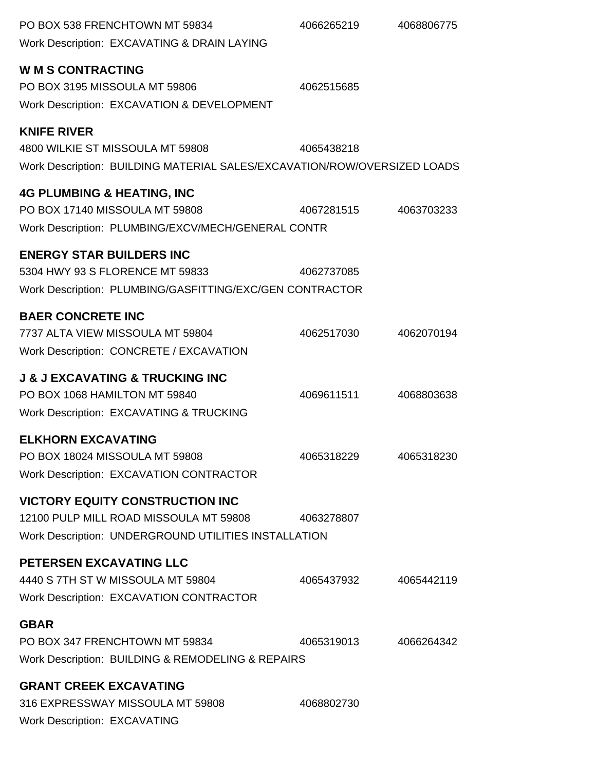| PO BOX 538 FRENCHTOWN MT 59834<br>Work Description: EXCAVATING & DRAIN LAYING                                                            | 4066265219 | 4068806775 |
|------------------------------------------------------------------------------------------------------------------------------------------|------------|------------|
| <b>W M S CONTRACTING</b><br>PO BOX 3195 MISSOULA MT 59806<br>Work Description: EXCAVATION & DEVELOPMENT                                  | 4062515685 |            |
| <b>KNIFE RIVER</b><br>4800 WILKIE ST MISSOULA MT 59808<br>Work Description: BUILDING MATERIAL SALES/EXCAVATION/ROW/OVERSIZED LOADS       | 4065438218 |            |
| <b>4G PLUMBING &amp; HEATING, INC</b><br>PO BOX 17140 MISSOULA MT 59808<br>Work Description: PLUMBING/EXCV/MECH/GENERAL CONTR            | 4067281515 | 4063703233 |
| <b>ENERGY STAR BUILDERS INC</b><br>5304 HWY 93 S FLORENCE MT 59833<br>Work Description: PLUMBING/GASFITTING/EXC/GEN CONTRACTOR           | 4062737085 |            |
| <b>BAER CONCRETE INC</b><br>7737 ALTA VIEW MISSOULA MT 59804<br>Work Description: CONCRETE / EXCAVATION                                  | 4062517030 | 4062070194 |
| <b>J &amp; J EXCAVATING &amp; TRUCKING INC</b><br>PO BOX 1068 HAMILTON MT 59840<br>Work Description: EXCAVATING & TRUCKING               | 4069611511 | 4068803638 |
| <b>ELKHORN EXCAVATING</b><br>PO BOX 18024 MISSOULA MT 59808<br><b>Work Description: EXCAVATION CONTRACTOR</b>                            | 4065318229 | 4065318230 |
| <b>VICTORY EQUITY CONSTRUCTION INC</b><br>12100 PULP MILL ROAD MISSOULA MT 59808<br>Work Description: UNDERGROUND UTILITIES INSTALLATION | 4063278807 |            |
| PETERSEN EXCAVATING LLC<br>4440 S 7TH ST W MISSOULA MT 59804<br><b>Work Description: EXCAVATION CONTRACTOR</b>                           | 4065437932 | 4065442119 |
| <b>GBAR</b><br>PO BOX 347 FRENCHTOWN MT 59834<br>Work Description: BUILDING & REMODELING & REPAIRS                                       | 4065319013 | 4066264342 |
| <b>GRANT CREEK EXCAVATING</b><br>316 EXPRESSWAY MISSOULA MT 59808<br><b>Work Description: EXCAVATING</b>                                 | 4068802730 |            |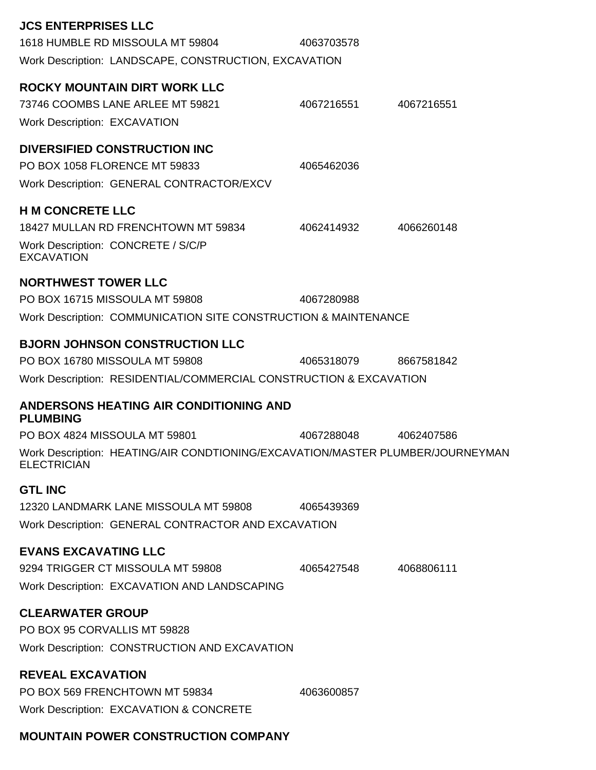| <b>JCS ENTERPRISES LLC</b>                                                                                                                    |            |            |
|-----------------------------------------------------------------------------------------------------------------------------------------------|------------|------------|
| 1618 HUMBLE RD MISSOULA MT 59804                                                                                                              | 4063703578 |            |
| Work Description: LANDSCAPE, CONSTRUCTION, EXCAVATION                                                                                         |            |            |
| <b>ROCKY MOUNTAIN DIRT WORK LLC</b><br>73746 COOMBS LANE ARLEE MT 59821<br><b>Work Description: EXCAVATION</b>                                | 4067216551 | 4067216551 |
| <b>DIVERSIFIED CONSTRUCTION INC</b><br>PO BOX 1058 FLORENCE MT 59833<br>Work Description: GENERAL CONTRACTOR/EXCV                             | 4065462036 |            |
| <b>H M CONCRETE LLC</b><br>18427 MULLAN RD FRENCHTOWN MT 59834<br>Work Description: CONCRETE / S/C/P<br><b>EXCAVATION</b>                     | 4062414932 | 4066260148 |
| <b>NORTHWEST TOWER LLC</b><br>PO BOX 16715 MISSOULA MT 59808<br>Work Description: COMMUNICATION SITE CONSTRUCTION & MAINTENANCE               | 4067280988 |            |
| <b>BJORN JOHNSON CONSTRUCTION LLC</b><br>PO BOX 16780 MISSOULA MT 59808<br>Work Description: RESIDENTIAL/COMMERCIAL CONSTRUCTION & EXCAVATION | 4065318079 | 8667581842 |
| <b>ANDERSONS HEATING AIR CONDITIONING AND</b><br><b>PLUMBING</b>                                                                              |            |            |
| PO BOX 4824 MISSOULA MT 59801                                                                                                                 | 4067288048 | 4062407586 |
| Work Description: HEATING/AIR CONDTIONING/EXCAVATION/MASTER PLUMBER/JOURNEYMAN<br><b>ELECTRICIAN</b>                                          |            |            |
| <b>GTL INC</b><br>12320 LANDMARK LANE MISSOULA MT 59808<br>Work Description: GENERAL CONTRACTOR AND EXCAVATION                                | 4065439369 |            |
| <b>EVANS EXCAVATING LLC</b><br>9294 TRIGGER CT MISSOULA MT 59808<br>Work Description: EXCAVATION AND LANDSCAPING                              | 4065427548 | 4068806111 |
| <b>CLEARWATER GROUP</b><br>PO BOX 95 CORVALLIS MT 59828<br>Work Description: CONSTRUCTION AND EXCAVATION                                      |            |            |
| <b>REVEAL EXCAVATION</b><br>PO BOX 569 FRENCHTOWN MT 59834<br>Work Description: EXCAVATION & CONCRETE                                         | 4063600857 |            |

# **MOUNTAIN POWER CONSTRUCTION COMPANY**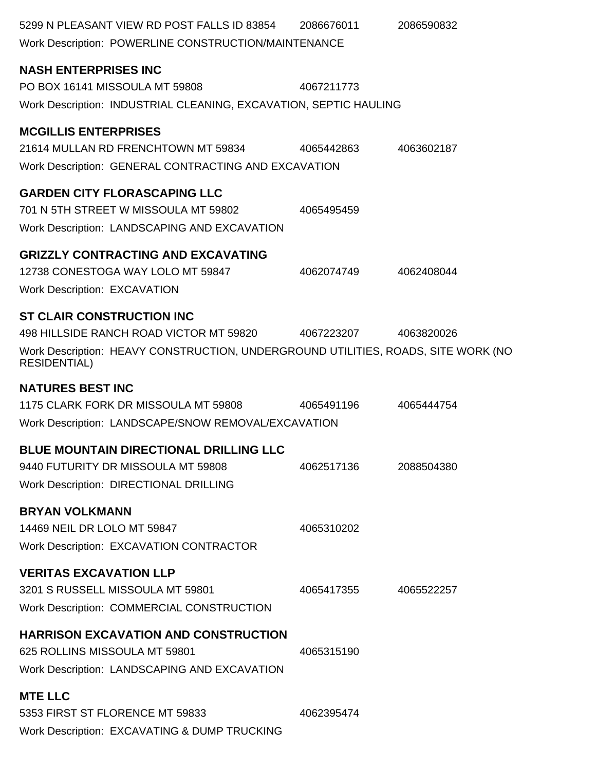| 5299 N PLEASANT VIEW RD POST FALLS ID 83854<br>Work Description: POWERLINE CONSTRUCTION/MAINTENANCE                                                                                     | 2086676011 | 2086590832 |
|-----------------------------------------------------------------------------------------------------------------------------------------------------------------------------------------|------------|------------|
| <b>NASH ENTERPRISES INC</b><br>PO BOX 16141 MISSOULA MT 59808<br>Work Description: INDUSTRIAL CLEANING, EXCAVATION, SEPTIC HAULING                                                      | 4067211773 |            |
| <b>MCGILLIS ENTERPRISES</b><br>21614 MULLAN RD FRENCHTOWN MT 59834<br>Work Description: GENERAL CONTRACTING AND EXCAVATION                                                              | 4065442863 | 4063602187 |
| <b>GARDEN CITY FLORASCAPING LLC</b><br>701 N 5TH STREET W MISSOULA MT 59802<br>Work Description: LANDSCAPING AND EXCAVATION                                                             | 4065495459 |            |
| <b>GRIZZLY CONTRACTING AND EXCAVATING</b><br>12738 CONESTOGA WAY LOLO MT 59847<br><b>Work Description: EXCAVATION</b>                                                                   | 4062074749 | 4062408044 |
| <b>ST CLAIR CONSTRUCTION INC</b><br>498 HILLSIDE RANCH ROAD VICTOR MT 59820<br>Work Description: HEAVY CONSTRUCTION, UNDERGROUND UTILITIES, ROADS, SITE WORK (NO<br><b>RESIDENTIAL)</b> | 4067223207 | 4063820026 |
| <b>NATURES BEST INC</b><br>1175 CLARK FORK DR MISSOULA MT 59808<br>Work Description: LANDSCAPE/SNOW REMOVAL/EXCAVATION                                                                  | 4065491196 | 4065444754 |
| <b>BLUE MOUNTAIN DIRECTIONAL DRILLING LLC</b><br>9440 FUTURITY DR MISSOULA MT 59808<br><b>Work Description: DIRECTIONAL DRILLING</b>                                                    | 4062517136 | 2088504380 |
| <b>BRYAN VOLKMANN</b><br>14469 NEIL DR LOLO MT 59847<br><b>Work Description: EXCAVATION CONTRACTOR</b>                                                                                  | 4065310202 |            |
| <b>VERITAS EXCAVATION LLP</b><br>3201 S RUSSELL MISSOULA MT 59801<br>Work Description: COMMERCIAL CONSTRUCTION                                                                          | 4065417355 | 4065522257 |
| <b>HARRISON EXCAVATION AND CONSTRUCTION</b><br>625 ROLLINS MISSOULA MT 59801<br>Work Description: LANDSCAPING AND EXCAVATION                                                            | 4065315190 |            |
| <b>MTE LLC</b><br>5353 FIRST ST FLORENCE MT 59833<br>Work Description: EXCAVATING & DUMP TRUCKING                                                                                       | 4062395474 |            |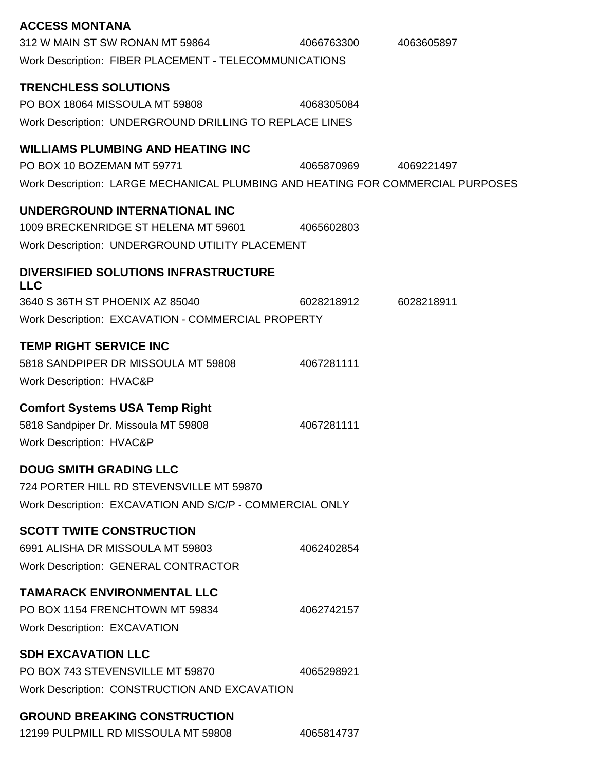| <b>ACCESS MONTANA</b>                                                           |            |            |
|---------------------------------------------------------------------------------|------------|------------|
| 312 W MAIN ST SW RONAN MT 59864                                                 | 4066763300 | 4063605897 |
| Work Description: FIBER PLACEMENT - TELECOMMUNICATIONS                          |            |            |
|                                                                                 |            |            |
| <b>TRENCHLESS SOLUTIONS</b>                                                     |            |            |
| PO BOX 18064 MISSOULA MT 59808                                                  | 4068305084 |            |
| Work Description: UNDERGROUND DRILLING TO REPLACE LINES                         |            |            |
| <b>WILLIAMS PLUMBING AND HEATING INC</b>                                        |            |            |
| PO BOX 10 BOZEMAN MT 59771                                                      | 4065870969 | 4069221497 |
| Work Description: LARGE MECHANICAL PLUMBING AND HEATING FOR COMMERCIAL PURPOSES |            |            |
| UNDERGROUND INTERNATIONAL INC                                                   |            |            |
| 1009 BRECKENRIDGE ST HELENA MT 59601                                            | 4065602803 |            |
| Work Description: UNDERGROUND UTILITY PLACEMENT                                 |            |            |
| DIVERSIFIED SOLUTIONS INFRASTRUCTURE                                            |            |            |
| <b>LLC</b>                                                                      |            |            |
| 3640 S 36TH ST PHOENIX AZ 85040                                                 | 6028218912 | 6028218911 |
| Work Description: EXCAVATION - COMMERCIAL PROPERTY                              |            |            |
| <b>TEMP RIGHT SERVICE INC</b>                                                   |            |            |
| 5818 SANDPIPER DR MISSOULA MT 59808                                             | 4067281111 |            |
| <b>Work Description: HVAC&amp;P</b>                                             |            |            |
|                                                                                 |            |            |
| <b>Comfort Systems USA Temp Right</b>                                           |            |            |
| 5818 Sandpiper Dr. Missoula MT 59808                                            | 4067281111 |            |
| <b>Work Description: HVAC&amp;P</b>                                             |            |            |
| <b>DOUG SMITH GRADING LLC</b>                                                   |            |            |
| 724 PORTER HILL RD STEVENSVILLE MT 59870                                        |            |            |
| Work Description: EXCAVATION AND S/C/P - COMMERCIAL ONLY                        |            |            |
| <b>SCOTT TWITE CONSTRUCTION</b>                                                 |            |            |
| 6991 ALISHA DR MISSOULA MT 59803                                                | 4062402854 |            |
| <b>Work Description: GENERAL CONTRACTOR</b>                                     |            |            |
|                                                                                 |            |            |
| <b>TAMARACK ENVIRONMENTAL LLC</b>                                               |            |            |
| PO BOX 1154 FRENCHTOWN MT 59834                                                 | 4062742157 |            |
| <b>Work Description: EXCAVATION</b>                                             |            |            |
| <b>SDH EXCAVATION LLC</b>                                                       |            |            |
| PO BOX 743 STEVENSVILLE MT 59870                                                | 4065298921 |            |
| Work Description: CONSTRUCTION AND EXCAVATION                                   |            |            |
| <b>GROUND BREAKING CONSTRUCTION</b>                                             |            |            |
| 12199 PULPMILL RD MISSOULA MT 59808                                             | 4065814737 |            |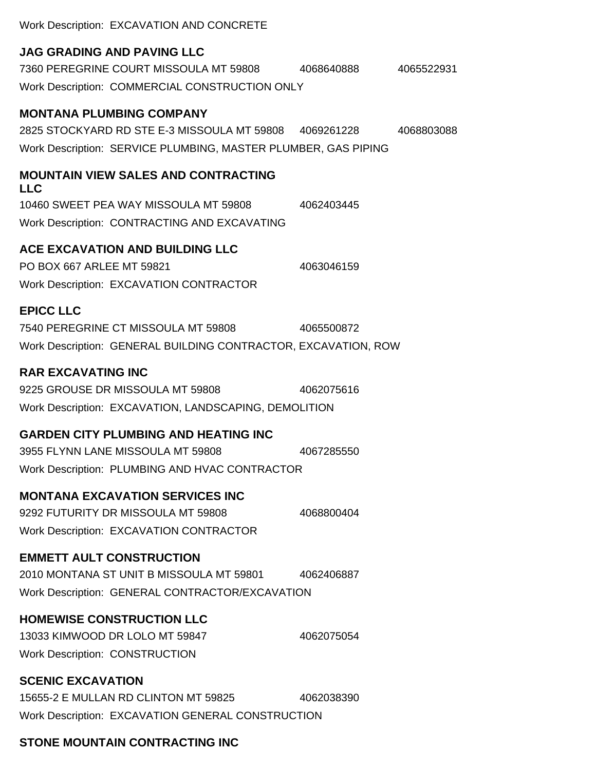Work Description: EXCAVATION AND CONCRETE

#### **JAG GRADING AND PAVING LLC**

7360 PEREGRINE COURT MISSOULA MT 59808 4068640888 4065522931 Work Description: COMMERCIAL CONSTRUCTION ONLY

#### **MONTANA PLUMBING COMPANY**

2825 STOCKYARD RD STE E-3 MISSOULA MT 59808 4069261228 4068803088 Work Description: SERVICE PLUMBING, MASTER PLUMBER, GAS PIPING

#### **MOUNTAIN VIEW SALES AND CONTRACTING LLC**

10460 SWEET PEA WAY MISSOULA MT 59808 4062403445 Work Description: CONTRACTING AND EXCAVATING

#### **ACE EXCAVATION AND BUILDING LLC**

PO BOX 667 ARLEE MT 59821 4063046159 Work Description: EXCAVATION CONTRACTOR

### **EPICC LLC**

7540 PEREGRINE CT MISSOULA MT 59808 4065500872 Work Description: GENERAL BUILDING CONTRACTOR, EXCAVATION, ROW

#### **RAR EXCAVATING INC**

9225 GROUSE DR MISSOULA MT 59808 4062075616 Work Description: EXCAVATION, LANDSCAPING, DEMOLITION

#### **GARDEN CITY PLUMBING AND HEATING INC**

3955 FLYNN LANE MISSOULA MT 59808 4067285550 Work Description: PLUMBING AND HVAC CONTRACTOR

#### **MONTANA EXCAVATION SERVICES INC**

9292 FUTURITY DR MISSOULA MT 59808 4068800404 Work Description: EXCAVATION CONTRACTOR

#### **EMMETT AULT CONSTRUCTION**

2010 MONTANA ST UNIT B MISSOULA MT 59801 4062406887 Work Description: GENERAL CONTRACTOR/EXCAVATION

#### **HOMEWISE CONSTRUCTION LLC**

13033 KIMWOOD DR LOLO MT 59847 4062075054 Work Description: CONSTRUCTION

#### **SCENIC EXCAVATION**

15655-2 E MULLAN RD CLINTON MT 59825 4062038390 Work Description: EXCAVATION GENERAL CONSTRUCTION

#### **STONE MOUNTAIN CONTRACTING INC**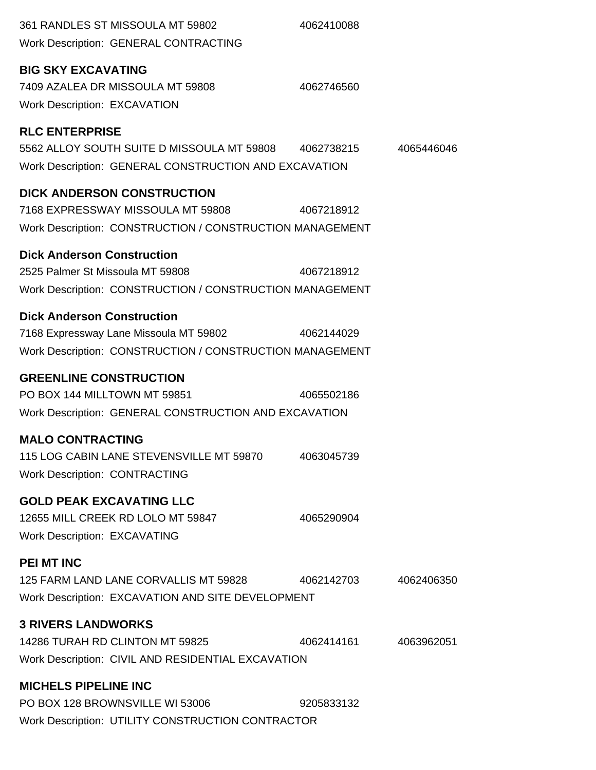| 361 RANDLES ST MISSOULA MT 59802<br><b>Work Description: GENERAL CONTRACTING</b>                                                              | 4062410088 |            |
|-----------------------------------------------------------------------------------------------------------------------------------------------|------------|------------|
| <b>BIG SKY EXCAVATING</b><br>7409 AZALEA DR MISSOULA MT 59808<br><b>Work Description: EXCAVATION</b>                                          | 4062746560 |            |
| <b>RLC ENTERPRISE</b><br>5562 ALLOY SOUTH SUITE D MISSOULA MT 59808 4062738215<br>Work Description: GENERAL CONSTRUCTION AND EXCAVATION       |            | 4065446046 |
| <b>DICK ANDERSON CONSTRUCTION</b><br>7168 EXPRESSWAY MISSOULA MT 59808 4067218912<br>Work Description: CONSTRUCTION / CONSTRUCTION MANAGEMENT |            |            |
| <b>Dick Anderson Construction</b><br>2525 Palmer St Missoula MT 59808<br>Work Description: CONSTRUCTION / CONSTRUCTION MANAGEMENT             | 4067218912 |            |
| <b>Dick Anderson Construction</b><br>7168 Expressway Lane Missoula MT 59802<br>Work Description: CONSTRUCTION / CONSTRUCTION MANAGEMENT       | 4062144029 |            |
| <b>GREENLINE CONSTRUCTION</b><br>PO BOX 144 MILLTOWN MT 59851<br>Work Description: GENERAL CONSTRUCTION AND EXCAVATION                        | 4065502186 |            |
| <b>MALO CONTRACTING</b><br>115 LOG CABIN LANE STEVENSVILLE MT 59870<br><b>Work Description: CONTRACTING</b>                                   | 4063045739 |            |
| <b>GOLD PEAK EXCAVATING LLC</b><br>12655 MILL CREEK RD LOLO MT 59847<br><b>Work Description: EXCAVATING</b>                                   | 4065290904 |            |
| <b>PEI MT INC</b><br>125 FARM LAND LANE CORVALLIS MT 59828<br>Work Description: EXCAVATION AND SITE DEVELOPMENT                               | 4062142703 | 4062406350 |
| <b>3 RIVERS LANDWORKS</b><br>14286 TURAH RD CLINTON MT 59825<br>Work Description: CIVIL AND RESIDENTIAL EXCAVATION                            | 4062414161 | 4063962051 |
| <b>MICHELS PIPELINE INC</b><br>PO BOX 128 BROWNSVILLE WI 53006<br>Work Description: UTILITY CONSTRUCTION CONTRACTOR                           | 9205833132 |            |